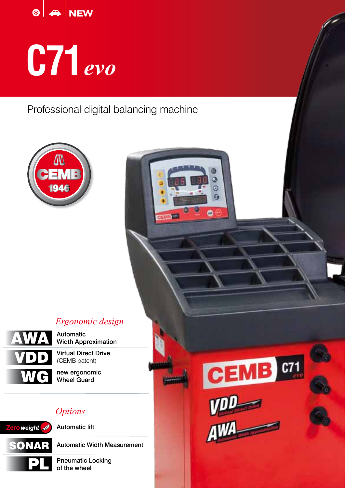

# **C71** *evo*

Professional digital balancing machine



# *Ergonomic design*



Automatic Width Approximation

Virtual Direct Drive (CEMB patent)

new ergonomic Wheel Guard

## *Options*



Automatic Width Measurement

Pneumatic Locking of the wheel

 $CEMB$   $C71$  $\frac{v_{\text{max}}}{\sqrt{v_{\text{max}}}}$ 

G G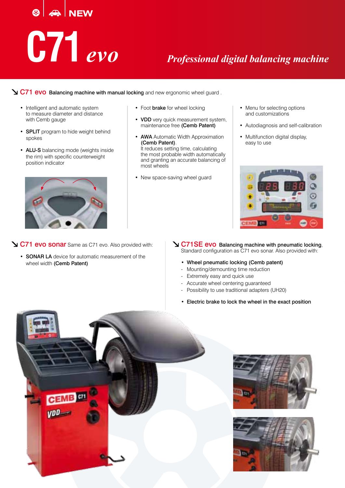# $\vert$   $\clubsuit$  NEW **C71***evo Professional digital balancing machine*

C71 evo Balancing machine with manual locking and new ergonomic wheel guard .

- Intelligent and automatic system to measure diameter and distance with Cemb gauge
- **SPLIT** program to hide weight behind spokes
- ALU-S balancing mode (weights inside the rim) with specific counterweight position indicator



- Foot **brake** for wheel locking
- VDD very quick measurement system, maintenance free (Cemb Patent)
- **AWA** Automatic Width Approximation (Cemb Patent). It reduces setting time, calculating the most probable width automatically and granting an accurate balancing of most wheels
- New space-saving wheel guard
- Menu for selecting options and customizations
- Autodiagnosis and self-calibration
- Multifunction digital display. easy to use



- C71 evo sonar Same as C71 evo. Also provided with:
	- SONAR LA device for automatic measurement of the wheel width (Cemb Patent)
- **V C71SE evo** Balancing machine with pneumatic locking, Standard configuration as C71 evo sonar. Also provided with:
	- Wheel pneumatic locking (Cemb patent)
	- Mounting/demounting time reduction
	- Extremely easy and quick use
	- Accurate wheel centering guaranteed
	- Possibility to use traditional adapters (UH20)
	- Electric brake to lock the wheel in the exact position





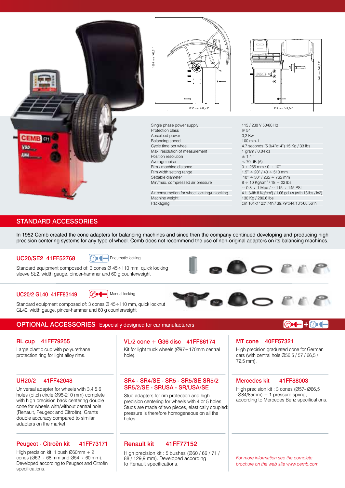



Single phase power supply Protection class Absorbed power Balancing speed Cycle time per wheel Max. resolution of measurement Position resolution Average noise Rim / machine distance Rim width setting range Settable diameter Min/max. compressed air pressure

Air consumption for wheel locking/unlocking Machine weight Packaging

1245 mm / 49,01"  $G$ EMB) $m$ 245

115 / 230 V 50/60 Hz IP 54 0,2 Kw 100 min-1 4.7 seconds (5 3/4"x14") 15 Kg / 33 lbs 1 gram / 0,04 oz  $± 1.4$  $<$  70 dB (A)  $0 \div 255$  mm /  $0 \div 10$ "  $1.5" \div 20" / 40 \div 510$  mm  $10" \div 30" / 265 \div 765$  mm  $8 \div 10$  Kg/cm<sup>2</sup> / 18  $\div$  22 lbs  $\sim$  0.8 ÷ 1 Mpa /  $\sim$  115 ÷ 145 PSI. 4 lt. (with 8 Kg/cm2 ) / 1,06 gal us (with 18 lbs / in2) 130 Kg / 286,6 lbs cm 101x112x174h / 39,79"x44,13"x68,56"h

#### STANDARD ACCESSORIES

In 1952 Cemb created the cone adapters for balancing machines and since then the company continued developing and producing high precision centering systems for any type of wheel. Cemb does not recommend the use of non-original adapters on its balancing machines.

#### UC20/SE2 41FF52768

**C**<br>Pheumatic locking

Standard equipment composed of: 3 cones Ø 45÷110 mm, quick locking sleeve SE2, width gauge, pincer-hammer and 60 g counterweight



#### UC20/2 GL40 41FF83149





Standard equipment composed of: 3 cones Ø 45÷110 mm, quick locknut GL40, width gauge, pincer-hammer and 60 g counterweight

### OPTIONAL ACCESSORIES Especially designed for car manufacturers

#### RL cup 41FF79255

Large plastic cup with polyurethane protection ring for light alloy rims.

#### UH20/2 41FF42048

holes (pitch circle Ø95-210 mm) complete with high precision back centering double cone for wheels with/without central hole (Renault, Peugeot and Citroën). Grants double accuracy compared to similar adapters on the market.

#### Peugeot - Citroën kit 41FF73171

High precision kit: 1 bush Ø60mm + 2 cones ( $\emptyset$ 62 ÷ 68 mm and  $\emptyset$ 54 ÷ 60 mm). Developed according to Peugeot and Citroën specifications.

#### Kit for light truck wheels (Ø97÷170mm central hole). VL/2 cone + G36 disc 41FF86174

#### SR4 - SR4/SE - SR5 - SR5/SE SR5/2 Universal adapter for wheels with 3,4,5,6 **SR5/2/SE - SRUSA - SR/USA/SE**

Stud adapters for rim protection and high precision centering for wheels with 4 or 5 holes. Studs are made of two pieces, elastically coupled: pressure is therefore homogeneous on all the holes.

#### Renault kit 41FF77152

High precision kit : 5 bushes (Ø60 / 66 / 71 / 88 / 129,9 mm). Developed according to Renault specifications.

 $\circledcirc$  (mm  $\bullet$   $\circledcirc$  ) (  $\bullet$ 

MT cone 40FF57321

 $\bullet$   $\bullet$  of  $\bullet$ 

High precision graduated cone for German cars (with central hole Ø56,5 / 57 / 66,5 / 72,5 mm).

#### Mercedes kit 41FF88003

High precision kit : 3 cones (Ø57- Ø66,5  $-Ø84/85$ mm) + 1 pressure spring, according to Mercedes Benz specifications.

*For more information see the complete brochure on the web site www.cemb.com*